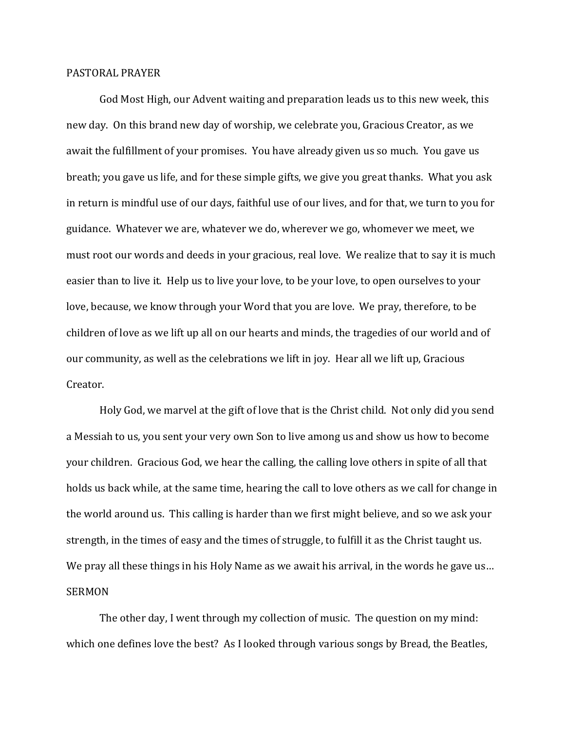## PASTORAL PRAYER

God Most High, our Advent waiting and preparation leads us to this new week, this new day. On this brand new day of worship, we celebrate you, Gracious Creator, as we await the fulfillment of your promises. You have already given us so much. You gave us breath; you gave us life, and for these simple gifts, we give you great thanks. What you ask in return is mindful use of our days, faithful use of our lives, and for that, we turn to you for guidance. Whatever we are, whatever we do, wherever we go, whomever we meet, we must root our words and deeds in your gracious, real love. We realize that to say it is much easier than to live it. Help us to live your love, to be your love, to open ourselves to your love, because, we know through your Word that you are love. We pray, therefore, to be children of love as we lift up all on our hearts and minds, the tragedies of our world and of our community, as well as the celebrations we lift in joy. Hear all we lift up, Gracious Creator.

Holy God, we marvel at the gift of love that is the Christ child. Not only did you send a Messiah to us, you sent your very own Son to live among us and show us how to become your children. Gracious God, we hear the calling, the calling love others in spite of all that holds us back while, at the same time, hearing the call to love others as we call for change in the world around us. This calling is harder than we first might believe, and so we ask your strength, in the times of easy and the times of struggle, to fulfill it as the Christ taught us. We pray all these things in his Holy Name as we await his arrival, in the words he gave us... SERMON

The other day, I went through my collection of music. The question on my mind: which one defines love the best? As I looked through various songs by Bread, the Beatles,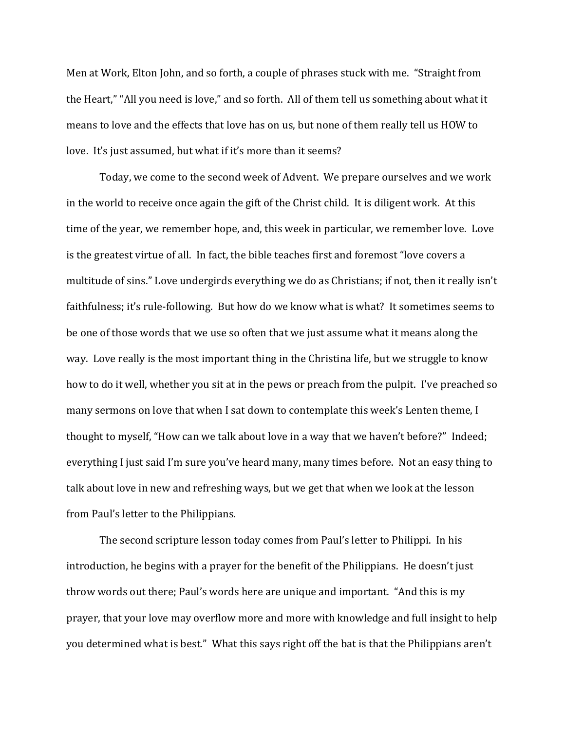Men at Work, Elton John, and so forth, a couple of phrases stuck with me. "Straight from the Heart," "All you need is love," and so forth. All of them tell us something about what it means to love and the effects that love has on us, but none of them really tell us HOW to love. It's just assumed, but what if it's more than it seems?

Today, we come to the second week of Advent. We prepare ourselves and we work in the world to receive once again the gift of the Christ child. It is diligent work. At this time of the year, we remember hope, and, this week in particular, we remember love. Love is the greatest virtue of all. In fact, the bible teaches first and foremost "love covers a multitude of sins." Love undergirds everything we do as Christians; if not, then it really isn't faithfulness; it's rule-following. But how do we know what is what? It sometimes seems to be one of those words that we use so often that we just assume what it means along the way. Love really is the most important thing in the Christina life, but we struggle to know how to do it well, whether you sit at in the pews or preach from the pulpit. I've preached so many sermons on love that when I sat down to contemplate this week's Lenten theme, I thought to myself, "How can we talk about love in a way that we haven't before?" Indeed; everything I just said I'm sure you've heard many, many times before. Not an easy thing to talk about love in new and refreshing ways, but we get that when we look at the lesson from Paul's letter to the Philippians.

The second scripture lesson today comes from Paul's letter to Philippi. In his introduction, he begins with a prayer for the benefit of the Philippians. He doesn't just throw words out there; Paul's words here are unique and important. "And this is my prayer, that your love may overflow more and more with knowledge and full insight to help you determined what is best." What this says right off the bat is that the Philippians aren't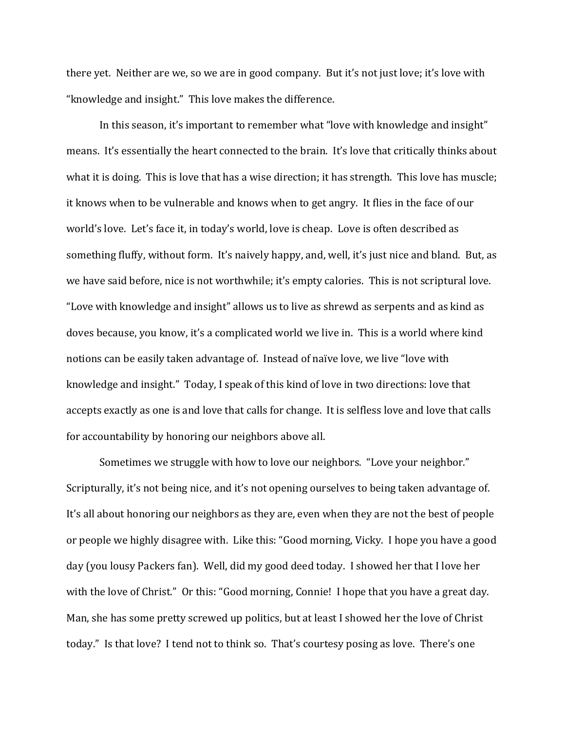there yet. Neither are we, so we are in good company. But it's not just love; it's love with "knowledge and insight." This love makes the difference.

In this season, it's important to remember what "love with knowledge and insight" means. It's essentially the heart connected to the brain. It's love that critically thinks about what it is doing. This is love that has a wise direction; it has strength. This love has muscle; it knows when to be vulnerable and knows when to get angry. It flies in the face of our world's love. Let's face it, in today's world, love is cheap. Love is often described as something fluffy, without form. It's naively happy, and, well, it's just nice and bland. But, as we have said before, nice is not worthwhile; it's empty calories. This is not scriptural love. "Love with knowledge and insight" allows us to live as shrewd as serpents and as kind as doves because, you know, it's a complicated world we live in. This is a world where kind notions can be easily taken advantage of. Instead of naïve love, we live "love with knowledge and insight." Today, I speak of this kind of love in two directions: love that accepts exactly as one is and love that calls for change. It is selfless love and love that calls for accountability by honoring our neighbors above all.

Sometimes we struggle with how to love our neighbors. "Love your neighbor." Scripturally, it's not being nice, and it's not opening ourselves to being taken advantage of. It's all about honoring our neighbors as they are, even when they are not the best of people or people we highly disagree with. Like this: "Good morning, Vicky. I hope you have a good day (you lousy Packers fan). Well, did my good deed today. I showed her that I love her with the love of Christ." Or this: "Good morning, Connie! I hope that you have a great day. Man, she has some pretty screwed up politics, but at least I showed her the love of Christ today." Is that love? I tend not to think so. That's courtesy posing as love. There's one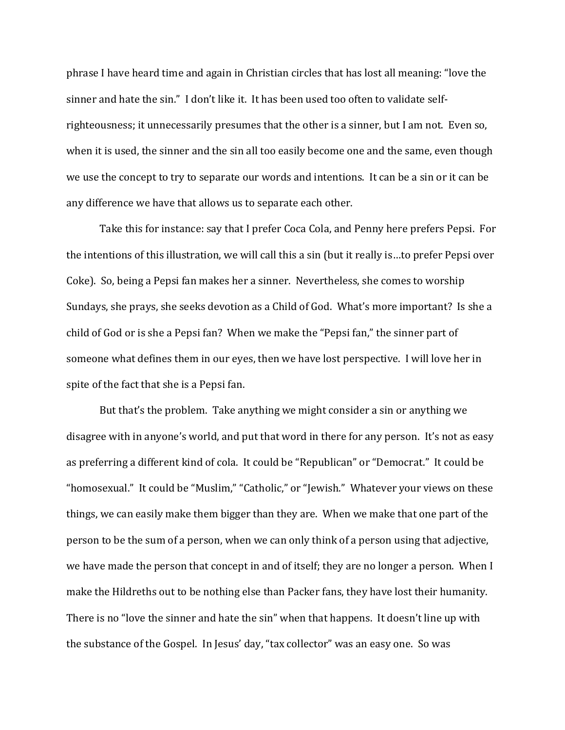phrase I have heard time and again in Christian circles that has lost all meaning: "love the sinner and hate the sin." I don't like it. It has been used too often to validate selfrighteousness; it unnecessarily presumes that the other is a sinner, but I am not. Even so, when it is used, the sinner and the sin all too easily become one and the same, even though we use the concept to try to separate our words and intentions. It can be a sin or it can be any difference we have that allows us to separate each other.

Take this for instance: say that I prefer Coca Cola, and Penny here prefers Pepsi. For the intentions of this illustration, we will call this a sin (but it really is…to prefer Pepsi over Coke). So, being a Pepsi fan makes her a sinner. Nevertheless, she comes to worship Sundays, she prays, she seeks devotion as a Child of God. What's more important? Is she a child of God or is she a Pepsi fan? When we make the "Pepsi fan," the sinner part of someone what defines them in our eyes, then we have lost perspective. I will love her in spite of the fact that she is a Pepsi fan.

But that's the problem. Take anything we might consider a sin or anything we disagree with in anyone's world, and put that word in there for any person. It's not as easy as preferring a different kind of cola. It could be "Republican" or "Democrat." It could be "homosexual." It could be "Muslim," "Catholic," or "Jewish." Whatever your views on these things, we can easily make them bigger than they are. When we make that one part of the person to be the sum of a person, when we can only think of a person using that adjective, we have made the person that concept in and of itself; they are no longer a person. When I make the Hildreths out to be nothing else than Packer fans, they have lost their humanity. There is no "love the sinner and hate the sin" when that happens. It doesn't line up with the substance of the Gospel. In Jesus' day, "tax collector" was an easy one. So was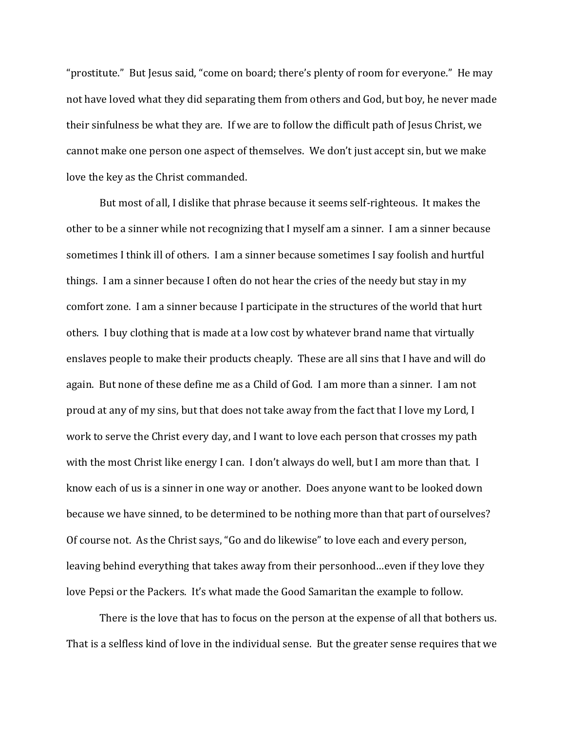"prostitute." But Jesus said, "come on board; there's plenty of room for everyone." He may not have loved what they did separating them from others and God, but boy, he never made their sinfulness be what they are. If we are to follow the difficult path of Jesus Christ, we cannot make one person one aspect of themselves. We don't just accept sin, but we make love the key as the Christ commanded.

But most of all, I dislike that phrase because it seems self-righteous. It makes the other to be a sinner while not recognizing that I myself am a sinner. I am a sinner because sometimes I think ill of others. I am a sinner because sometimes I say foolish and hurtful things. I am a sinner because I often do not hear the cries of the needy but stay in my comfort zone. I am a sinner because I participate in the structures of the world that hurt others. I buy clothing that is made at a low cost by whatever brand name that virtually enslaves people to make their products cheaply. These are all sins that I have and will do again. But none of these define me as a Child of God. I am more than a sinner. I am not proud at any of my sins, but that does not take away from the fact that I love my Lord, I work to serve the Christ every day, and I want to love each person that crosses my path with the most Christ like energy I can. I don't always do well, but I am more than that. I know each of us is a sinner in one way or another. Does anyone want to be looked down because we have sinned, to be determined to be nothing more than that part of ourselves? Of course not. As the Christ says, "Go and do likewise" to love each and every person, leaving behind everything that takes away from their personhood…even if they love they love Pepsi or the Packers. It's what made the Good Samaritan the example to follow.

There is the love that has to focus on the person at the expense of all that bothers us. That is a selfless kind of love in the individual sense. But the greater sense requires that we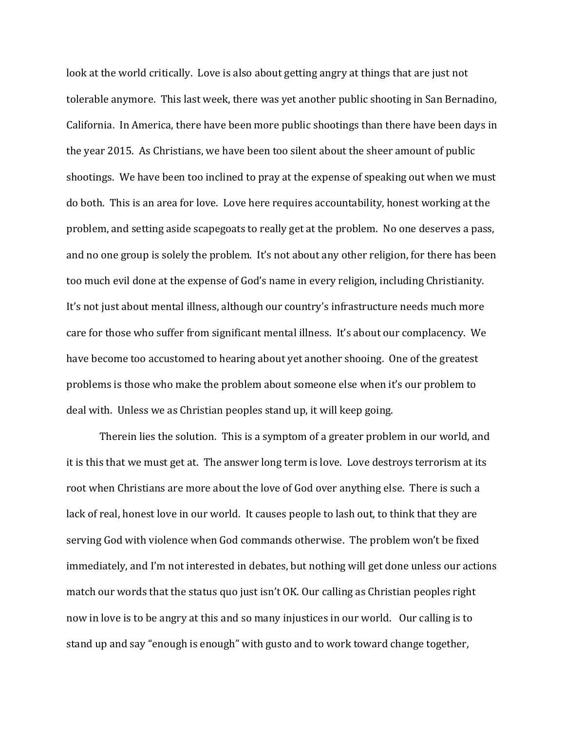look at the world critically. Love is also about getting angry at things that are just not tolerable anymore. This last week, there was yet another public shooting in San Bernadino, California. In America, there have been more public shootings than there have been days in the year 2015. As Christians, we have been too silent about the sheer amount of public shootings. We have been too inclined to pray at the expense of speaking out when we must do both. This is an area for love. Love here requires accountability, honest working at the problem, and setting aside scapegoats to really get at the problem. No one deserves a pass, and no one group is solely the problem. It's not about any other religion, for there has been too much evil done at the expense of God's name in every religion, including Christianity. It's not just about mental illness, although our country's infrastructure needs much more care for those who suffer from significant mental illness. It's about our complacency. We have become too accustomed to hearing about yet another shooing. One of the greatest problems is those who make the problem about someone else when it's our problem to deal with. Unless we as Christian peoples stand up, it will keep going.

Therein lies the solution. This is a symptom of a greater problem in our world, and it is this that we must get at. The answer long term is love. Love destroys terrorism at its root when Christians are more about the love of God over anything else. There is such a lack of real, honest love in our world. It causes people to lash out, to think that they are serving God with violence when God commands otherwise. The problem won't be fixed immediately, and I'm not interested in debates, but nothing will get done unless our actions match our words that the status quo just isn't OK. Our calling as Christian peoples right now in love is to be angry at this and so many injustices in our world. Our calling is to stand up and say "enough is enough" with gusto and to work toward change together,